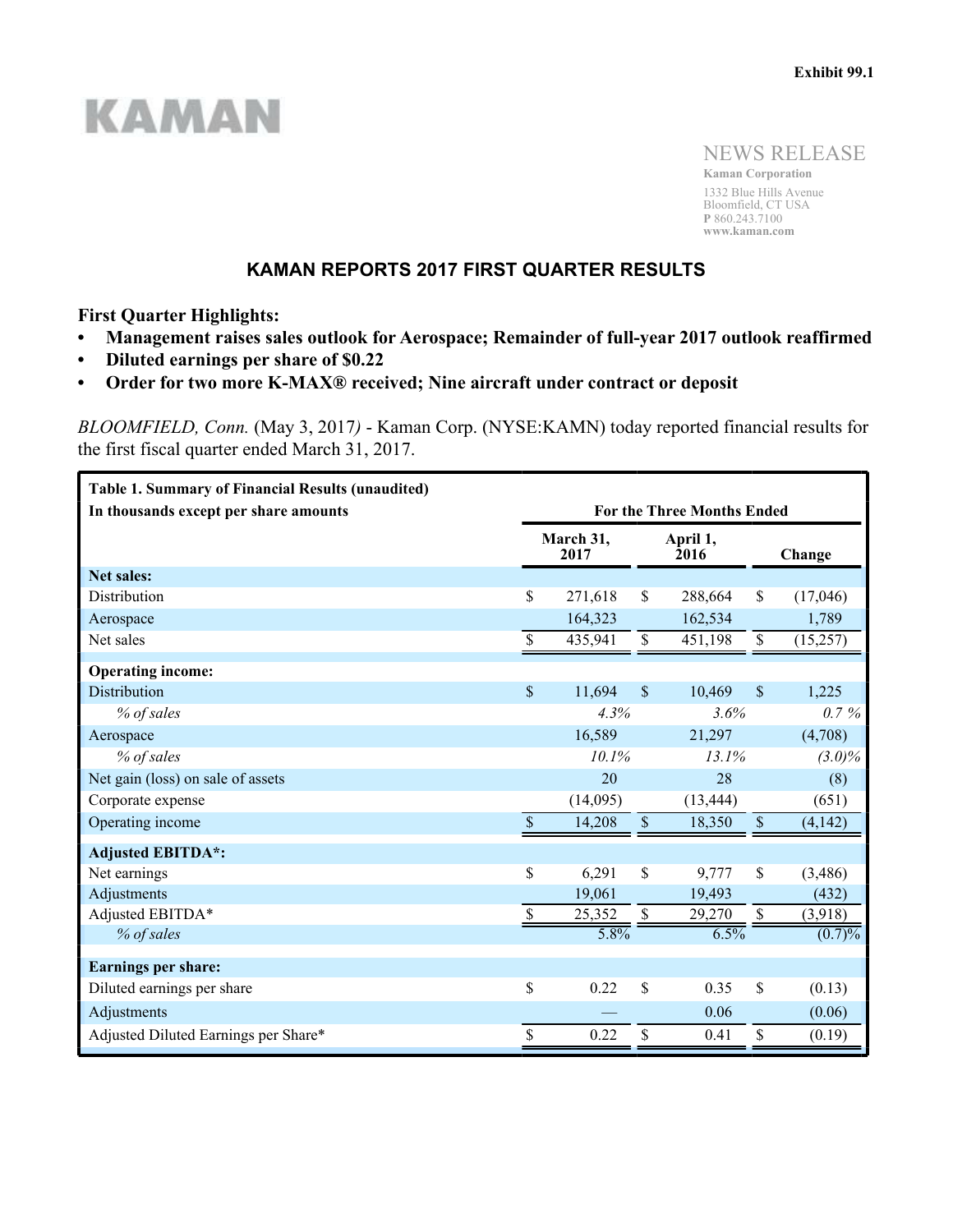# **KAMAN**

NEWS RELEASE

**Kaman Corporation** 1332 Blue Hills Avenue Bloomfield, CT USA **P** 860.243.7100 **www.kaman.com**

# **KAMAN REPORTS 2017 FIRST QUARTER RESULTS**

**First Quarter Highlights:**

- **Management raises sales outlook for Aerospace; Remainder of full-year 2017 outlook reaffirmed**
- **Diluted earnings per share of \$0.22**
- **Order for two more K-MAX® received; Nine aircraft under contract or deposit**

*BLOOMFIELD, Conn.* (May 3, 2017*)* - Kaman Corp. (NYSE:KAMN) today reported financial results for the first fiscal quarter ended March 31, 2017.

| <b>Table 1. Summary of Financial Results (unaudited)</b> |                                   |          |                    |                         |               |           |  |        |
|----------------------------------------------------------|-----------------------------------|----------|--------------------|-------------------------|---------------|-----------|--|--------|
| In thousands except per share amounts                    | <b>For the Three Months Ended</b> |          |                    |                         |               |           |  |        |
|                                                          | March 31,<br>2017                 |          |                    | April 1,<br><b>2016</b> |               |           |  | Change |
| <b>Net sales:</b>                                        |                                   |          |                    |                         |               |           |  |        |
| Distribution                                             | \$                                | 271,618  | \$                 | 288,664                 | \$            | (17,046)  |  |        |
| Aerospace                                                |                                   | 164,323  |                    | 162,534                 |               | 1,789     |  |        |
| Net sales                                                | \$                                | 435,941  | \$                 | 451,198                 | \$            | (15,257)  |  |        |
| <b>Operating income:</b>                                 |                                   |          |                    |                         |               |           |  |        |
| <b>Distribution</b>                                      | $\mathbf{\hat{S}}$                | 11,694   | $\mathbf{\hat{S}}$ | 10,469                  | $\mathsf{\$}$ | 1,225     |  |        |
| % of sales                                               |                                   | 4.3%     |                    | 3.6%                    |               |           |  |        |
| Aerospace                                                |                                   | 16,589   |                    | 21,297                  |               | (4,708)   |  |        |
| % of sales                                               |                                   | 10.1%    |                    | 13.1%                   |               | $(3.0)\%$ |  |        |
| Net gain (loss) on sale of assets                        |                                   | 20       |                    | 28                      |               | (8)       |  |        |
| Corporate expense                                        |                                   | (14,095) |                    | (13, 444)               |               | (651)     |  |        |
| Operating income                                         | $\mathcal{S}$                     | 14,208   | $\mathbb S$        | 18,350                  | \$            | (4, 142)  |  |        |
| <b>Adjusted EBITDA*:</b>                                 |                                   |          |                    |                         |               |           |  |        |
| Net earnings                                             | \$                                | 6,291    | \$                 | 9,777                   | \$            | (3,486)   |  |        |
| Adjustments                                              |                                   | 19,061   |                    | 19,493                  |               | (432)     |  |        |
| Adjusted EBITDA*                                         | \$                                | 25,352   | $\mathbb S$        | 29,270                  | \$            | (3,918)   |  |        |
| % of sales                                               |                                   | 5.8%     |                    | 6.5%                    |               | $(0.7)\%$ |  |        |
| <b>Earnings per share:</b>                               |                                   |          |                    |                         |               |           |  |        |
| Diluted earnings per share                               | \$                                | 0.22     | \$                 | 0.35                    | \$            | (0.13)    |  |        |
| Adjustments                                              |                                   |          |                    | 0.06                    |               | (0.06)    |  |        |
| Adjusted Diluted Earnings per Share*                     | \$                                | 0.22     | \$                 | 0.41                    | \$            | (0.19)    |  |        |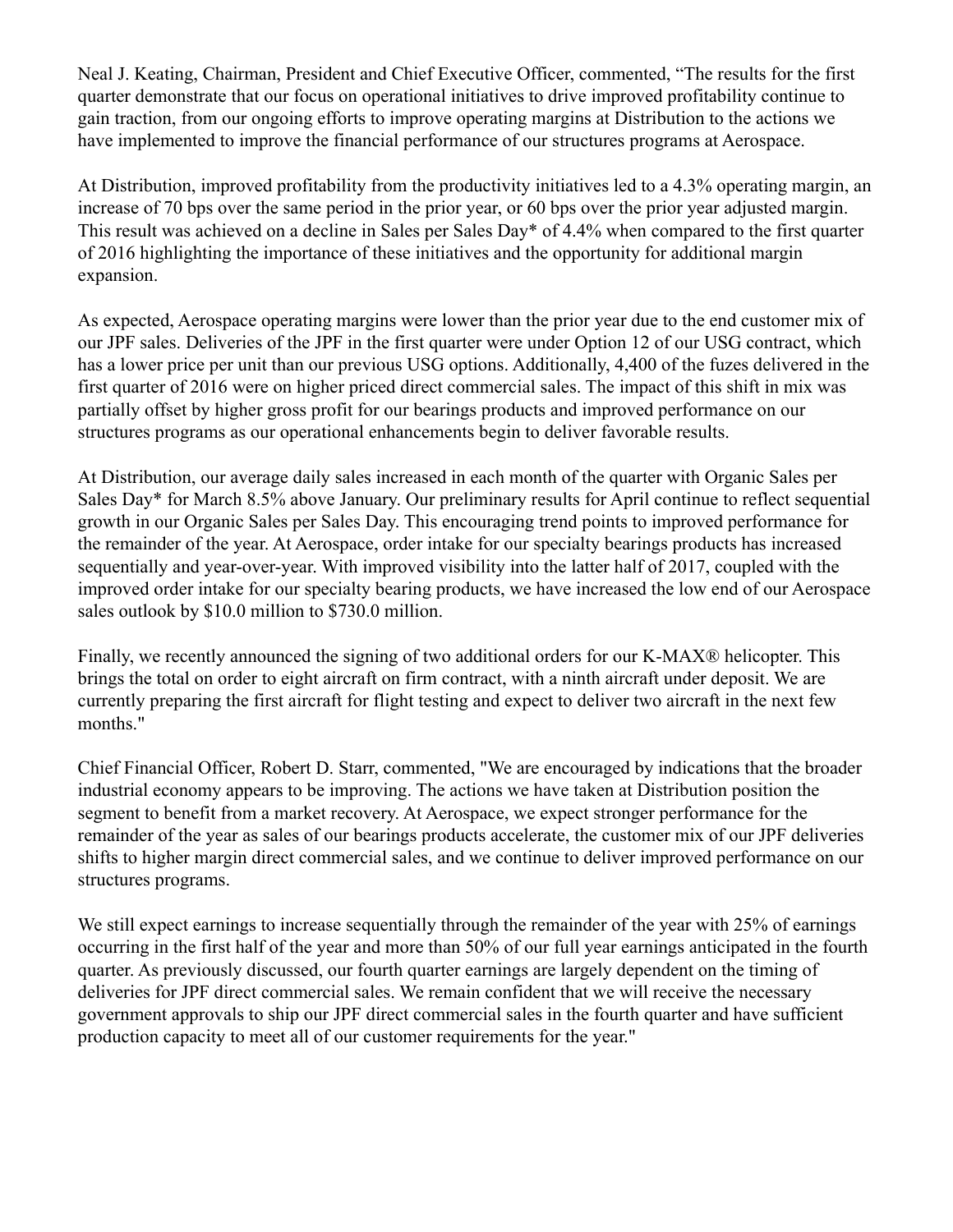Neal J. Keating, Chairman, President and Chief Executive Officer, commented, "The results for the first quarter demonstrate that our focus on operational initiatives to drive improved profitability continue to gain traction, from our ongoing efforts to improve operating margins at Distribution to the actions we have implemented to improve the financial performance of our structures programs at Aerospace.

At Distribution, improved profitability from the productivity initiatives led to a 4.3% operating margin, an increase of 70 bps over the same period in the prior year, or 60 bps over the prior year adjusted margin. This result was achieved on a decline in Sales per Sales Day\* of 4.4% when compared to the first quarter of 2016 highlighting the importance of these initiatives and the opportunity for additional margin expansion.

As expected, Aerospace operating margins were lower than the prior year due to the end customer mix of our JPF sales. Deliveries of the JPF in the first quarter were under Option 12 of our USG contract, which has a lower price per unit than our previous USG options. Additionally, 4,400 of the fuzes delivered in the first quarter of 2016 were on higher priced direct commercial sales. The impact of this shift in mix was partially offset by higher gross profit for our bearings products and improved performance on our structures programs as our operational enhancements begin to deliver favorable results.

At Distribution, our average daily sales increased in each month of the quarter with Organic Sales per Sales Day\* for March 8.5% above January. Our preliminary results for April continue to reflect sequential growth in our Organic Sales per Sales Day. This encouraging trend points to improved performance for the remainder of the year. At Aerospace, order intake for our specialty bearings products has increased sequentially and year-over-year. With improved visibility into the latter half of 2017, coupled with the improved order intake for our specialty bearing products, we have increased the low end of our Aerospace sales outlook by \$10.0 million to \$730.0 million.

Finally, we recently announced the signing of two additional orders for our K-MAX® helicopter. This brings the total on order to eight aircraft on firm contract, with a ninth aircraft under deposit. We are currently preparing the first aircraft for flight testing and expect to deliver two aircraft in the next few months."

Chief Financial Officer, Robert D. Starr, commented, "We are encouraged by indications that the broader industrial economy appears to be improving. The actions we have taken at Distribution position the segment to benefit from a market recovery. At Aerospace, we expect stronger performance for the remainder of the year as sales of our bearings products accelerate, the customer mix of our JPF deliveries shifts to higher margin direct commercial sales, and we continue to deliver improved performance on our structures programs.

We still expect earnings to increase sequentially through the remainder of the year with 25% of earnings occurring in the first half of the year and more than 50% of our full year earnings anticipated in the fourth quarter. As previously discussed, our fourth quarter earnings are largely dependent on the timing of deliveries for JPF direct commercial sales. We remain confident that we will receive the necessary government approvals to ship our JPF direct commercial sales in the fourth quarter and have sufficient production capacity to meet all of our customer requirements for the year."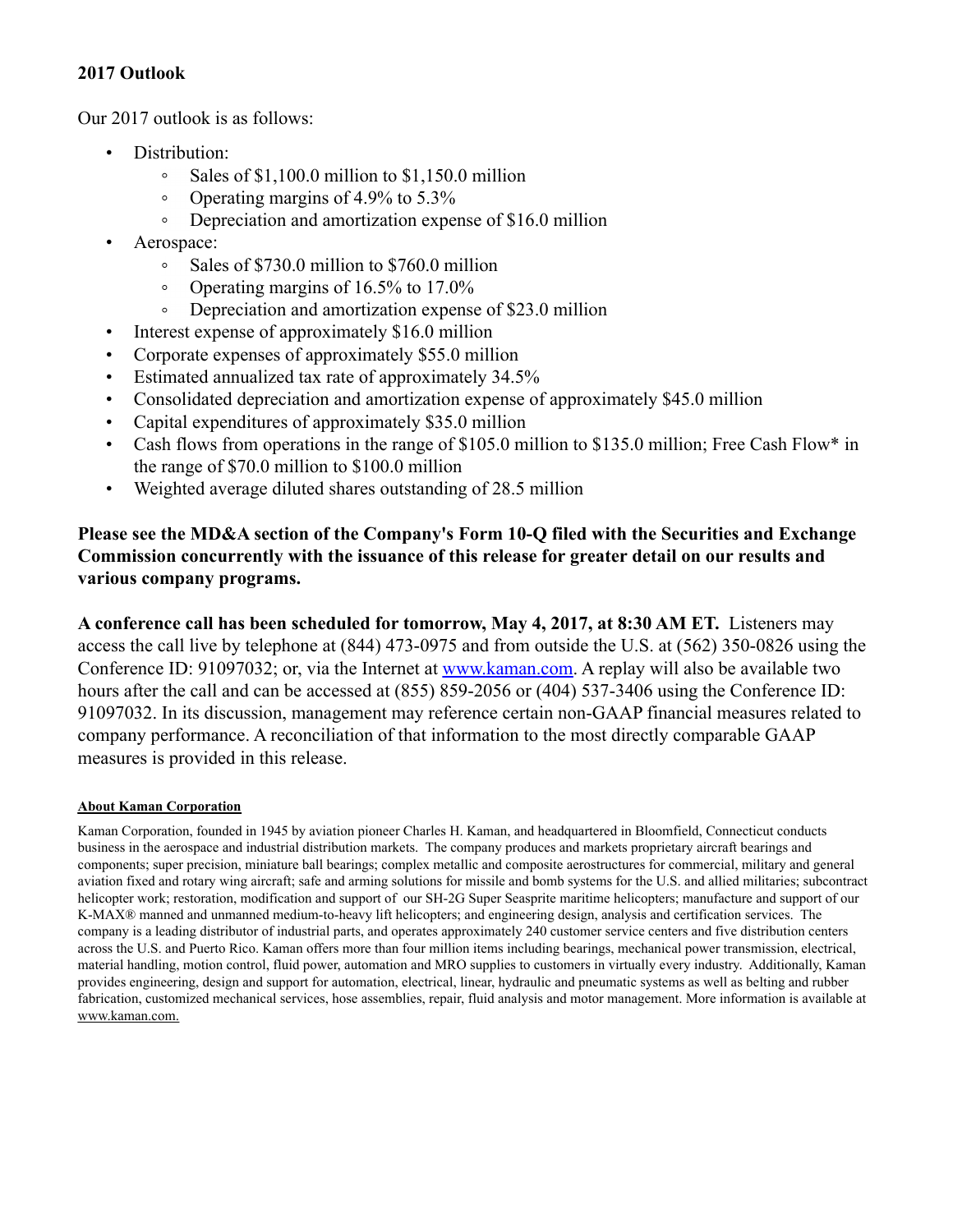# **2017 Outlook**

Our 2017 outlook is as follows:

- Distribution:
	- Sales of \$1,100.0 million to \$1,150.0 million  $\circ$
	- Operating margins of 4.9% to 5.3%  $\circ$
	- Depreciation and amortization expense of \$16.0 million  $\circ$
- Aerospace:
	- $\circ$ Sales of \$730.0 million to \$760.0 million
	- Operating margins of 16.5% to 17.0%  $\circ$
	- Depreciation and amortization expense of \$23.0 million  $\circ$
- Interest expense of approximately \$16.0 million
- Corporate expenses of approximately \$55.0 million
- Estimated annualized tax rate of approximately 34.5%
- Consolidated depreciation and amortization expense of approximately \$45.0 million
- Capital expenditures of approximately \$35.0 million
- Cash flows from operations in the range of \$105.0 million to \$135.0 million; Free Cash Flow\* in the range of \$70.0 million to \$100.0 million
- Weighted average diluted shares outstanding of 28.5 million

# **Please see the MD&A section of the Company's Form 10-Q filed with the Securities and Exchange Commission concurrently with the issuance of this release for greater detail on our results and various company programs.**

**A conference call has been scheduled for tomorrow, May 4, 2017, at 8:30 AM ET.** Listeners may access the call live by telephone at (844) 473-0975 and from outside the U.S. at (562) 350-0826 using the Conference ID: 91097032; or, via the Internet at www.kaman.com. A replay will also be available two hours after the call and can be accessed at (855) 859-2056 or (404) 537-3406 using the Conference ID: 91097032. In its discussion, management may reference certain non-GAAP financial measures related to company performance. A reconciliation of that information to the most directly comparable GAAP measures is provided in this release.

## **About Kaman Corporation**

Kaman Corporation, founded in 1945 by aviation pioneer Charles H. Kaman, and headquartered in Bloomfield, Connecticut conducts business in the aerospace and industrial distribution markets. The company produces and markets proprietary aircraft bearings and components; super precision, miniature ball bearings; complex metallic and composite aerostructures for commercial, military and general aviation fixed and rotary wing aircraft; safe and arming solutions for missile and bomb systems for the U.S. and allied militaries; subcontract helicopter work; restoration, modification and support of our SH-2G Super Seasprite maritime helicopters; manufacture and support of our K-MAX® manned and unmanned medium-to-heavy lift helicopters; and engineering design, analysis and certification services. The company is a leading distributor of industrial parts, and operates approximately 240 customer service centers and five distribution centers across the U.S. and Puerto Rico. Kaman offers more than four million items including bearings, mechanical power transmission, electrical, material handling, motion control, fluid power, automation and MRO supplies to customers in virtually every industry. Additionally, Kaman provides engineering, design and support for automation, electrical, linear, hydraulic and pneumatic systems as well as belting and rubber fabrication, customized mechanical services, hose assemblies, repair, fluid analysis and motor management. More information is available at www.kaman.com.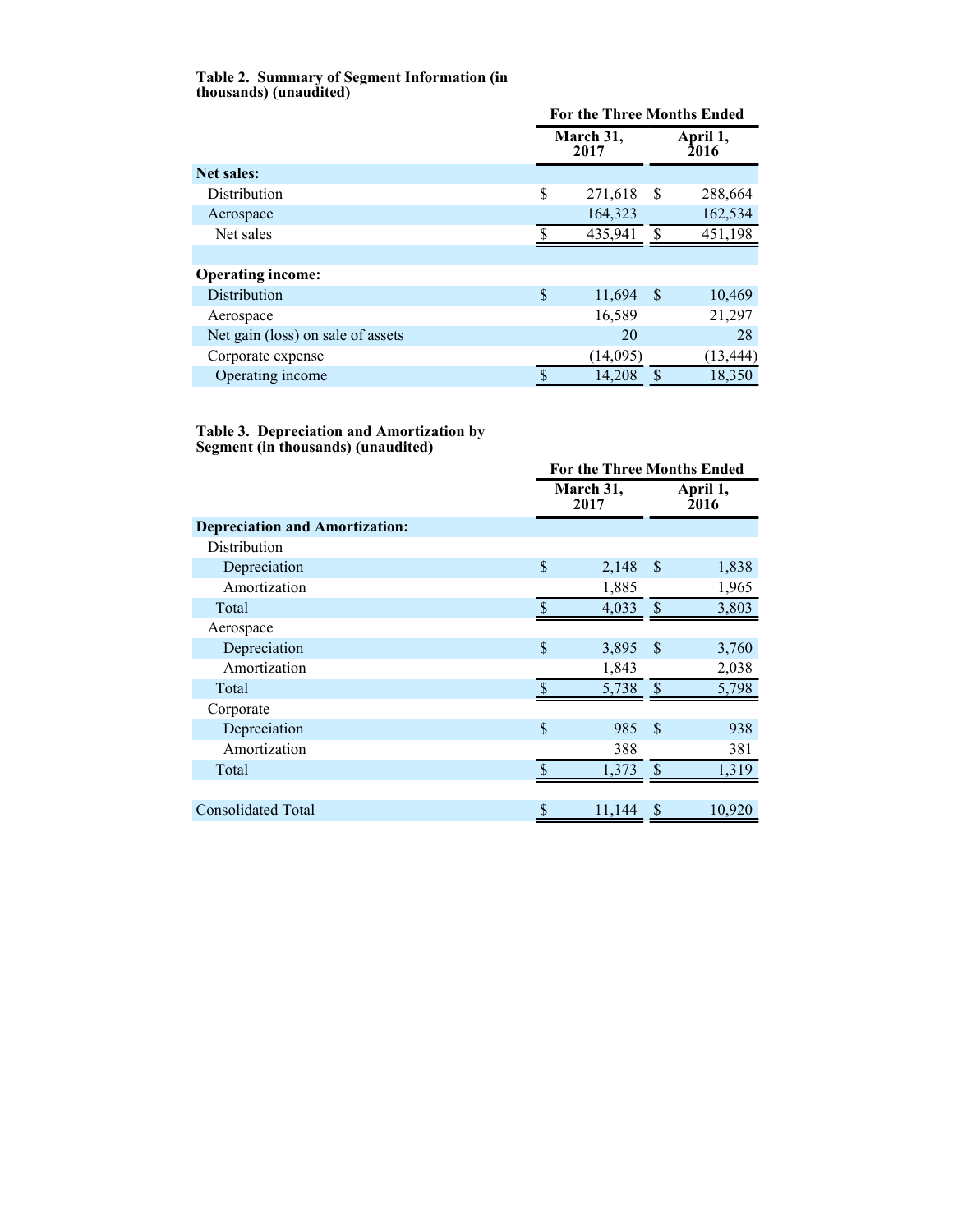#### **Table 2. Summary of Segment Information (in thousands) (unaudited)**

|                                   |               | <b>For the Three Months Ended</b> |              |                  |  |  |
|-----------------------------------|---------------|-----------------------------------|--------------|------------------|--|--|
|                                   |               | March 31,<br>2017                 |              | April 1,<br>2016 |  |  |
| <b>Net sales:</b>                 |               |                                   |              |                  |  |  |
| Distribution                      | \$            | 271,618                           | S            | 288,664          |  |  |
| Aerospace                         |               | 164,323                           |              | 162,534          |  |  |
| Net sales                         | $\mathcal{S}$ | 435,941                           | \$           | 451,198          |  |  |
|                                   |               |                                   |              |                  |  |  |
| <b>Operating income:</b>          |               |                                   |              |                  |  |  |
| Distribution                      | \$            | 11,694                            | <sup>S</sup> | 10,469           |  |  |
| Aerospace                         |               | 16,589                            |              | 21,297           |  |  |
| Net gain (loss) on sale of assets |               | 20                                |              | 28               |  |  |
| Corporate expense                 |               | (14,095)                          |              | (13, 444)        |  |  |
| Operating income                  |               | 14,208                            | S            | 18,350           |  |  |

#### **Table 3. Depreciation and Amortization by Segment (in thousands) (unaudited)**

| <b>For the Three Months Ended</b> |               |                  |  |
|-----------------------------------|---------------|------------------|--|
| March 31,<br>2017                 |               | April 1,<br>2016 |  |
|                                   |               |                  |  |
|                                   |               |                  |  |
| \$<br>2,148                       | -S            | 1,838            |  |
| 1,885                             |               | 1,965            |  |
| \$<br>4,033                       | $\mathcal{S}$ | 3,803            |  |
|                                   |               |                  |  |
| \$<br>3,895                       | <sup>\$</sup> | 3,760            |  |
| 1,843                             |               | 2,038            |  |
| \$<br>5,738                       | $\mathcal{S}$ | 5,798            |  |
|                                   |               |                  |  |
| \$<br>985                         | \$.           | 938              |  |
| 388                               |               | 381              |  |
| \$<br>1,373                       | \$            | 1,319            |  |
|                                   |               |                  |  |
| \$<br>11,144                      | S             | 10,920           |  |
|                                   |               |                  |  |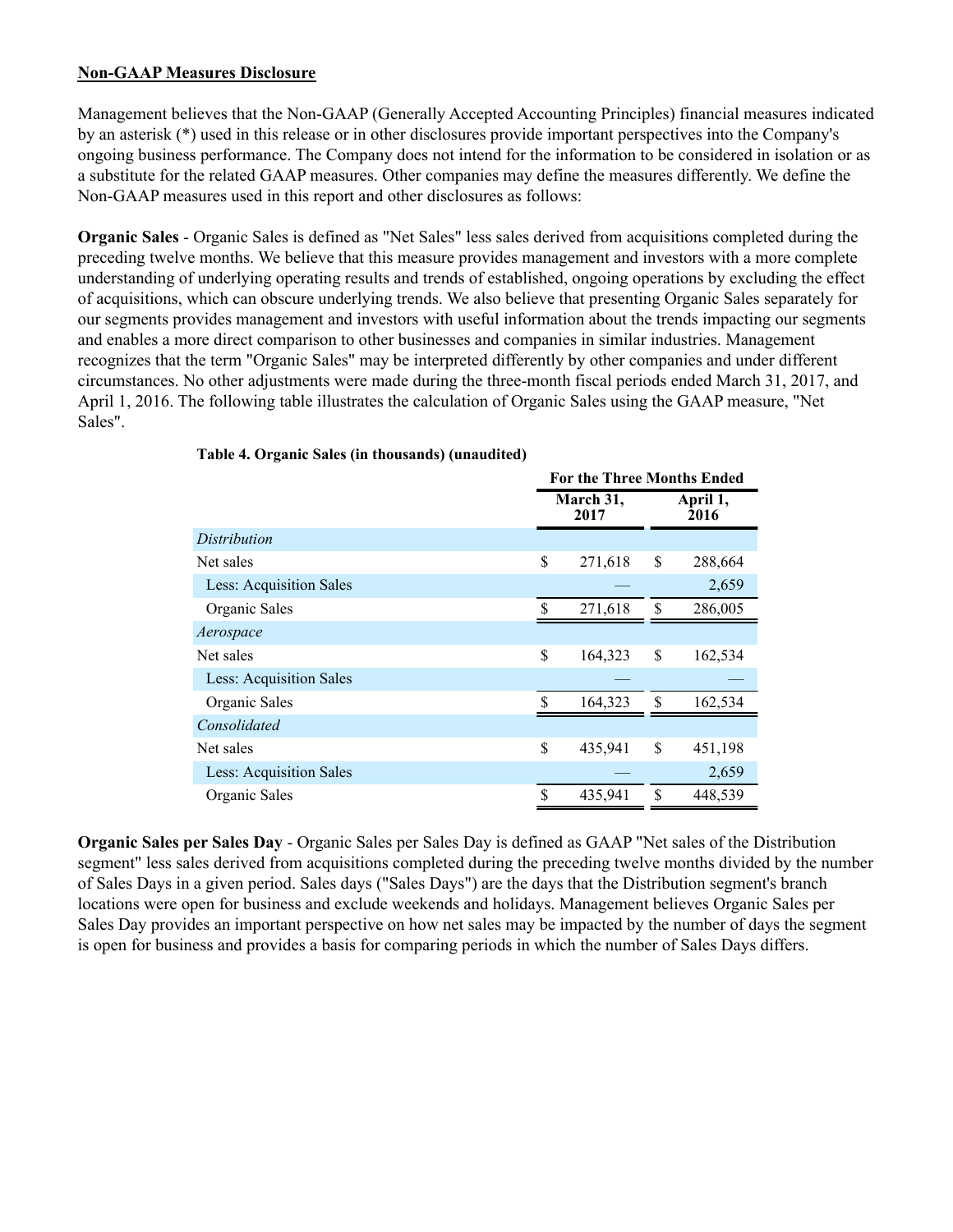## **Non-GAAP Measures Disclosure**

Management believes that the Non-GAAP (Generally Accepted Accounting Principles) financial measures indicated by an asterisk (\*) used in this release or in other disclosures provide important perspectives into the Company's ongoing business performance. The Company does not intend for the information to be considered in isolation or as a substitute for the related GAAP measures. Other companies may define the measures differently. We define the Non-GAAP measures used in this report and other disclosures as follows:

**Organic Sales** - Organic Sales is defined as "Net Sales" less sales derived from acquisitions completed during the preceding twelve months. We believe that this measure provides management and investors with a more complete understanding of underlying operating results and trends of established, ongoing operations by excluding the effect of acquisitions, which can obscure underlying trends. We also believe that presenting Organic Sales separately for our segments provides management and investors with useful information about the trends impacting our segments and enables a more direct comparison to other businesses and companies in similar industries. Management recognizes that the term "Organic Sales" may be interpreted differently by other companies and under different circumstances. No other adjustments were made during the three-month fiscal periods ended March 31, 2017, and April 1, 2016. The following table illustrates the calculation of Organic Sales using the GAAP measure, "Net Sales".

**For the Three Months Ended**

|                         | March 31,<br>2017  |         |               | April 1,<br><b>2016</b> |  |
|-------------------------|--------------------|---------|---------------|-------------------------|--|
| <i>Distribution</i>     |                    |         |               |                         |  |
| Net sales               | \$                 | 271,618 | <sup>\$</sup> | 288,664                 |  |
| Less: Acquisition Sales |                    |         |               | 2,659                   |  |
| Organic Sales           | $\mathbf{\hat{S}}$ | 271,618 | \$            | 286,005                 |  |
| Aerospace               |                    |         |               |                         |  |
| Net sales               | \$                 | 164,323 | \$            | 162,534                 |  |
| Less: Acquisition Sales |                    |         |               |                         |  |
| Organic Sales           | $\mathbf S$        | 164,323 | \$            | 162,534                 |  |
| Consolidated            |                    |         |               |                         |  |
| Net sales               | \$                 | 435,941 | \$            | 451,198                 |  |
| Less: Acquisition Sales |                    |         |               | 2,659                   |  |
| Organic Sales           | \$                 | 435,941 | \$            | 448,539                 |  |

## **Table 4. Organic Sales (in thousands) (unaudited)**

**Organic Sales per Sales Day** - Organic Sales per Sales Day is defined as GAAP "Net sales of the Distribution segment" less sales derived from acquisitions completed during the preceding twelve months divided by the number of Sales Days in a given period. Sales days ("Sales Days") are the days that the Distribution segment's branch locations were open for business and exclude weekends and holidays. Management believes Organic Sales per Sales Day provides an important perspective on how net sales may be impacted by the number of days the segment is open for business and provides a basis for comparing periods in which the number of Sales Days differs.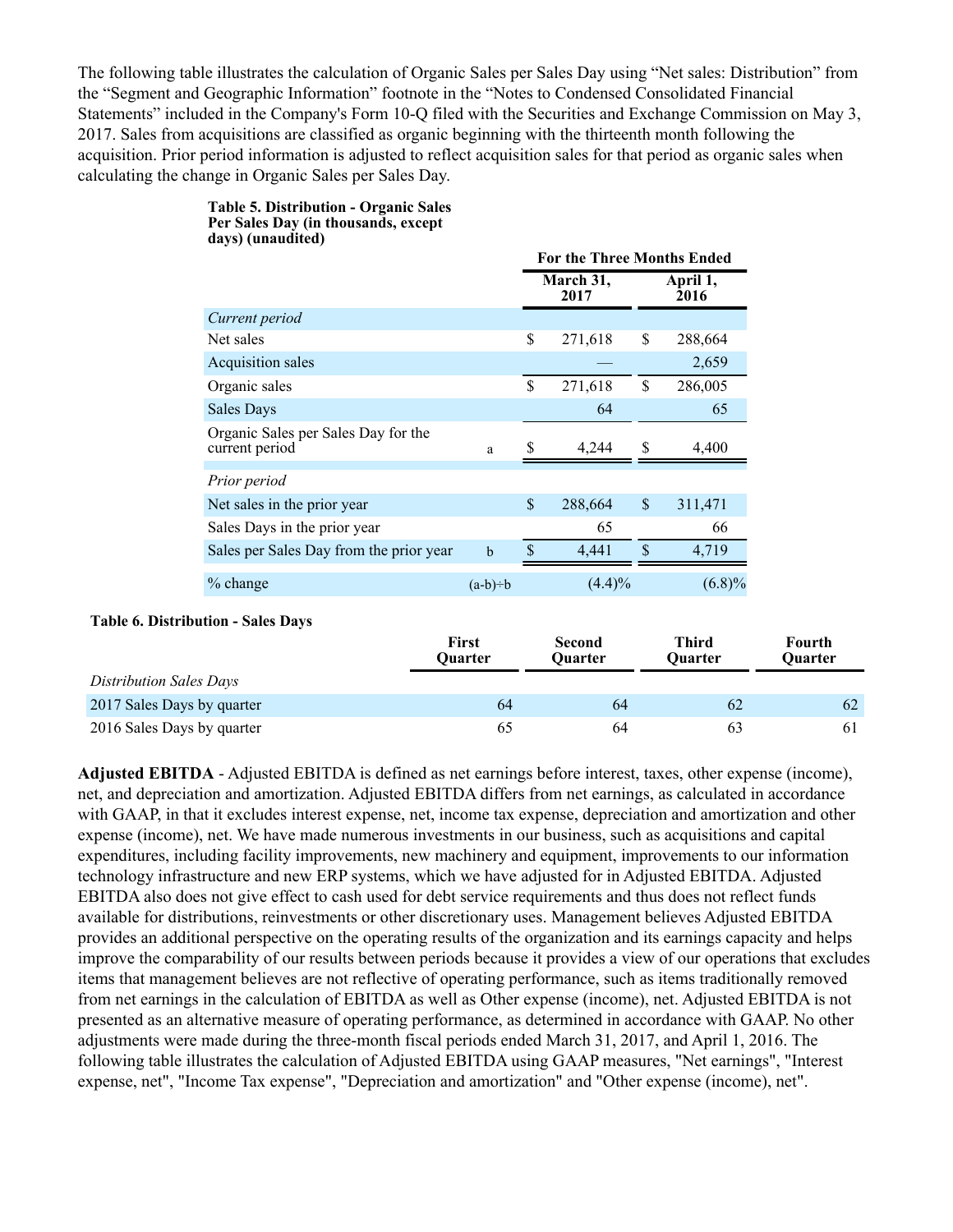The following table illustrates the calculation of Organic Sales per Sales Day using "Net sales: Distribution" from the "Segment and Geographic Information" footnote in the "Notes to Condensed Consolidated Financial Statements" included in the Company's Form 10-Q filed with the Securities and Exchange Commission on May 3, 2017. Sales from acquisitions are classified as organic beginning with the thirteenth month following the acquisition. Prior period information is adjusted to reflect acquisition sales for that period as organic sales when calculating the change in Organic Sales per Sales Day.

| \$<br>\$ | March 31,<br>2017<br>271,618<br>271,618<br>64 | \$<br>\$      | April 1,<br>2016<br>288,664<br>2,659<br>286,005<br>65 |
|----------|-----------------------------------------------|---------------|-------------------------------------------------------|
|          |                                               |               |                                                       |
|          |                                               |               |                                                       |
|          |                                               |               |                                                       |
|          |                                               |               |                                                       |
|          |                                               |               |                                                       |
|          |                                               |               |                                                       |
| \$<br>a  | 4,244                                         | \$            | 4,400                                                 |
|          |                                               |               |                                                       |
| \$       | 288,664                                       | $\mathbf{\$}$ | 311,471                                               |
|          | 65                                            |               | 66                                                    |
|          | 4,441                                         | \$            | 4,719                                                 |
|          |                                               |               | (6.8)%                                                |
|          | $\mathbf b$                                   | $(a-b)=b$     | $(4.4)\%$                                             |

#### **Table 5. Distribution - Organic Sales Per Sales Day (in thousands, except days) (unaudited)**

## **Table 6. Distribution - Sales Days**

|                                | <b>First</b><br><b>Ouarter</b> | Second<br><b>Ouarter</b> | Third<br>Ouarter | Fourth<br><b>Ouarter</b> |
|--------------------------------|--------------------------------|--------------------------|------------------|--------------------------|
| <b>Distribution Sales Days</b> |                                |                          |                  |                          |
| 2017 Sales Days by quarter     | 64                             | 64                       | 62               | 62                       |
| 2016 Sales Days by quarter     | 65                             | 64                       | 63               | 61                       |

**Adjusted EBITDA** - Adjusted EBITDA is defined as net earnings before interest, taxes, other expense (income), net, and depreciation and amortization. Adjusted EBITDA differs from net earnings, as calculated in accordance with GAAP, in that it excludes interest expense, net, income tax expense, depreciation and amortization and other expense (income), net. We have made numerous investments in our business, such as acquisitions and capital expenditures, including facility improvements, new machinery and equipment, improvements to our information technology infrastructure and new ERP systems, which we have adjusted for in Adjusted EBITDA. Adjusted EBITDA also does not give effect to cash used for debt service requirements and thus does not reflect funds available for distributions, reinvestments or other discretionary uses. Management believes Adjusted EBITDA provides an additional perspective on the operating results of the organization and its earnings capacity and helps improve the comparability of our results between periods because it provides a view of our operations that excludes items that management believes are not reflective of operating performance, such as items traditionally removed from net earnings in the calculation of EBITDA as well as Other expense (income), net. Adjusted EBITDA is not presented as an alternative measure of operating performance, as determined in accordance with GAAP. No other adjustments were made during the three-month fiscal periods ended March 31, 2017, and April 1, 2016. The following table illustrates the calculation of Adjusted EBITDA using GAAP measures, "Net earnings", "Interest expense, net", "Income Tax expense", "Depreciation and amortization" and "Other expense (income), net".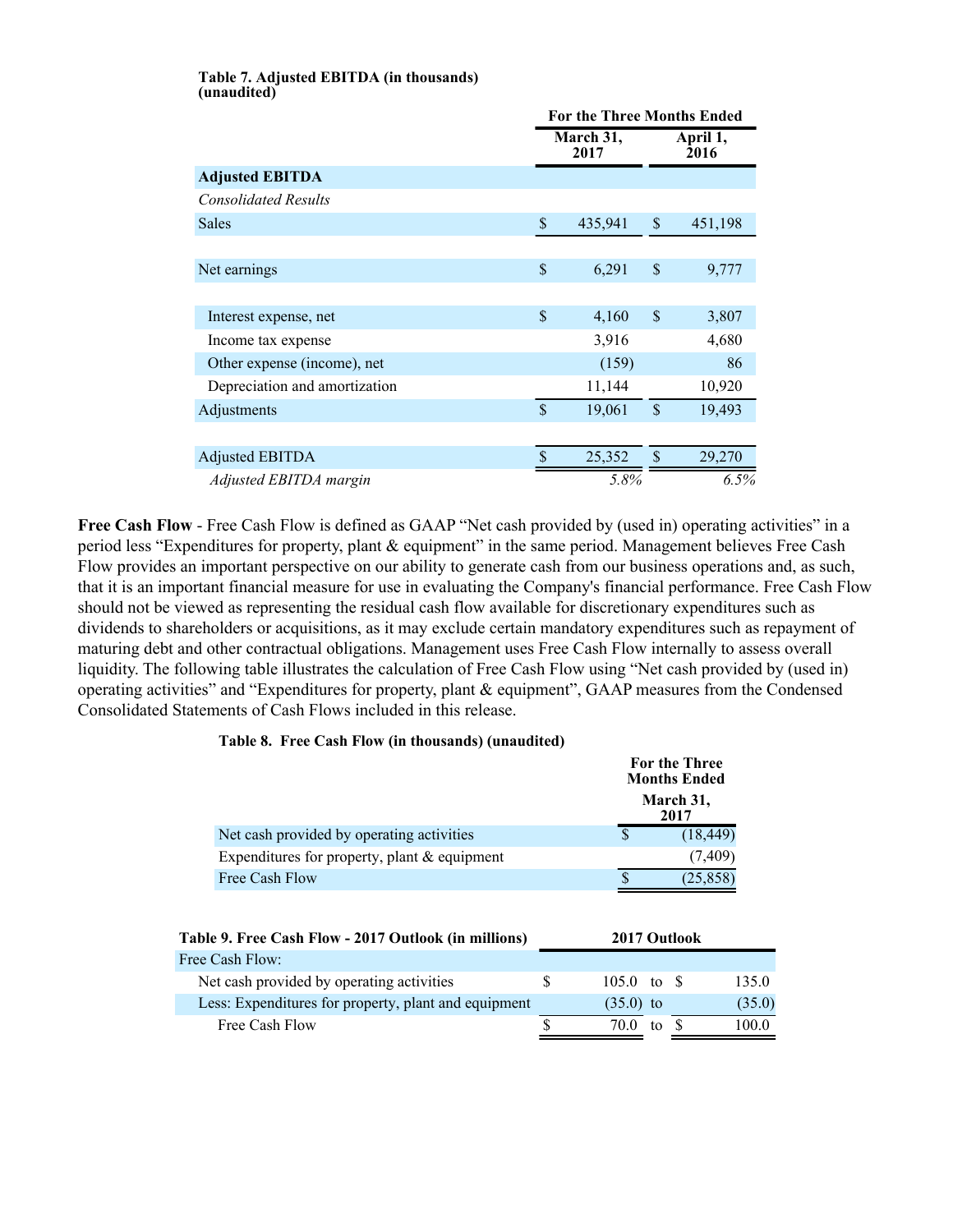## **Table 7. Adjusted EBITDA (in thousands) (unaudited)**

|                               |              | <b>For the Three Months Ended</b> |               |                  |  |  |
|-------------------------------|--------------|-----------------------------------|---------------|------------------|--|--|
|                               |              | March 31,<br>2017                 |               | April 1,<br>2016 |  |  |
| <b>Adjusted EBITDA</b>        |              |                                   |               |                  |  |  |
| <b>Consolidated Results</b>   |              |                                   |               |                  |  |  |
| <b>Sales</b>                  | \$           | 435,941                           | \$            | 451,198          |  |  |
|                               |              |                                   |               |                  |  |  |
| Net earnings                  | \$           | 6,291                             | \$            | 9,777            |  |  |
|                               |              |                                   |               |                  |  |  |
| Interest expense, net         | \$           | 4,160                             | \$            | 3,807            |  |  |
| Income tax expense            |              | 3,916                             |               | 4,680            |  |  |
| Other expense (income), net   |              | (159)                             |               | 86               |  |  |
| Depreciation and amortization |              | 11,144                            |               | 10,920           |  |  |
| Adjustments                   | $\mathbf S$  | 19,061                            | $\mathcal{S}$ | 19,493           |  |  |
|                               |              |                                   |               |                  |  |  |
| <b>Adjusted EBITDA</b>        | $\mathbb{S}$ | 25,352                            | $\mathcal{S}$ | 29,270           |  |  |
| Adjusted EBITDA margin        |              | 5.8%                              |               | 6.5%             |  |  |

Free Cash Flow - Free Cash Flow is defined as GAAP "Net cash provided by (used in) operating activities" in a period less "Expenditures for property, plant & equipment" in the same period. Management believes Free Cash Flow provides an important perspective on our ability to generate cash from our business operations and, as such, that it is an important financial measure for use in evaluating the Company's financial performance. Free Cash Flow should not be viewed as representing the residual cash flow available for discretionary expenditures such as dividends to shareholders or acquisitions, as it may exclude certain mandatory expenditures such as repayment of maturing debt and other contractual obligations. Management uses Free Cash Flow internally to assess overall liquidity. The following table illustrates the calculation of Free Cash Flow using "Net cash provided by (used in) operating activities" and "Expenditures for property, plant & equipment", GAAP measures from the Condensed Consolidated Statements of Cash Flows included in this release.

## **Table 8. Free Cash Flow (in thousands) (unaudited)**

|                                                      | <b>For the Three</b><br><b>Months Ended</b><br>March 31, |    |           |        |
|------------------------------------------------------|----------------------------------------------------------|----|-----------|--------|
|                                                      |                                                          |    | 2017      |        |
| Net cash provided by operating activities            |                                                          |    | (18, 449) |        |
| Expenditures for property, plant $&$ equipment       |                                                          |    | (7, 409)  |        |
| Free Cash Flow                                       |                                                          |    | (25, 858) |        |
| Table 9. Free Cash Flow - 2017 Outlook (in millions) | 2017 Outlook                                             |    |           |        |
| Free Cash Flow:                                      |                                                          |    |           |        |
| Net cash provided by operating activities            | \$<br>105.0                                              | to | - \$      | 135.0  |
| Less: Expenditures for property, plant and equipment | $(35.0)$ to                                              |    |           | (35.0) |
| Free Cash Flow                                       | 70.0                                                     | to |           | 100.0  |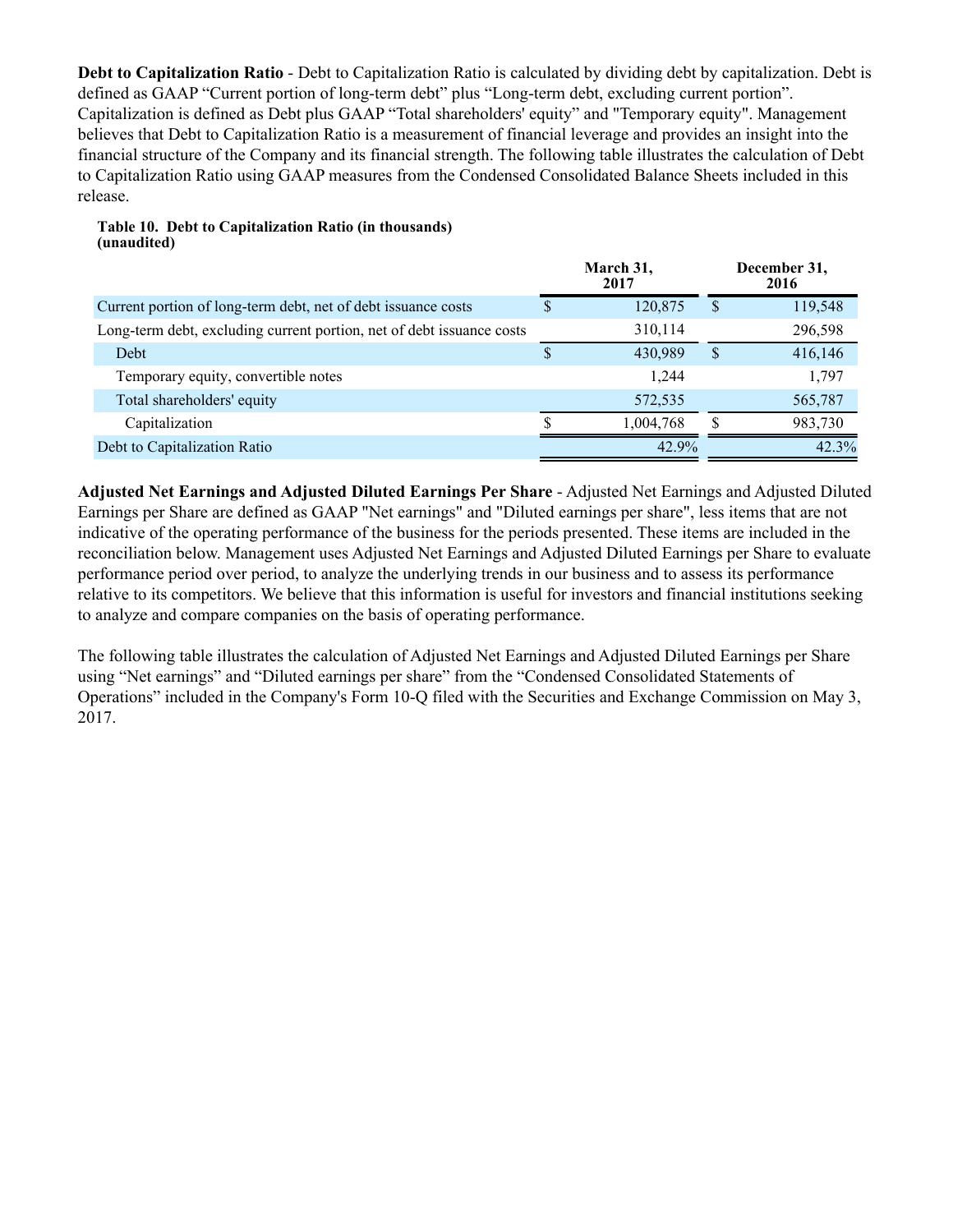**Debt to Capitalization Ratio** - Debt to Capitalization Ratio is calculated by dividing debt by capitalization. Debt is defined as GAAP "Current portion of long-term debt" plus "Long-term debt, excluding current portion". Capitalization is defined as Debt plus GAAP "Total shareholders' equity" and "Temporary equity". Management believes that Debt to Capitalization Ratio is a measurement of financial leverage and provides an insight into the financial structure of the Company and its financial strength. The following table illustrates the calculation of Debt to Capitalization Ratio using GAAP measures from the Condensed Consolidated Balance Sheets included in this release.

**Table 10. Debt to Capitalization Ratio (in thousands) (unaudited)**

|                                                                       |   | March 31,<br>2017 |          | December 31,<br>2016 |
|-----------------------------------------------------------------------|---|-------------------|----------|----------------------|
| Current portion of long-term debt, net of debt issuance costs         | Y | 120,875           | S        | 119,548              |
| Long-term debt, excluding current portion, net of debt issuance costs |   | 310,114           |          | 296,598              |
| Debt                                                                  | S | 430,989           | S        | 416,146              |
| Temporary equity, convertible notes                                   |   | 1,244             |          | 1,797                |
| Total shareholders' equity                                            |   | 572,535           |          | 565,787              |
| Capitalization                                                        |   | 1,004,768         | <b>S</b> | 983,730              |
| Debt to Capitalization Ratio                                          |   | 42.9%             |          | 42.3%                |

**Adjusted Net Earnings and Adjusted Diluted Earnings Per Share** - Adjusted Net Earnings and Adjusted Diluted Earnings per Share are defined as GAAP "Net earnings" and "Diluted earnings per share", less items that are not indicative of the operating performance of the business for the periods presented. These items are included in the reconciliation below. Management uses Adjusted Net Earnings and Adjusted Diluted Earnings per Share to evaluate performance period over period, to analyze the underlying trends in our business and to assess its performance relative to its competitors. We believe that this information is useful for investors and financial institutions seeking to analyze and compare companies on the basis of operating performance.

The following table illustrates the calculation of Adjusted Net Earnings and Adjusted Diluted Earnings per Share using "Net earnings" and "Diluted earnings per share" from the "Condensed Consolidated Statements of Operations" included in the Company's Form 10-Q filed with the Securities and Exchange Commission on May 3, 2017.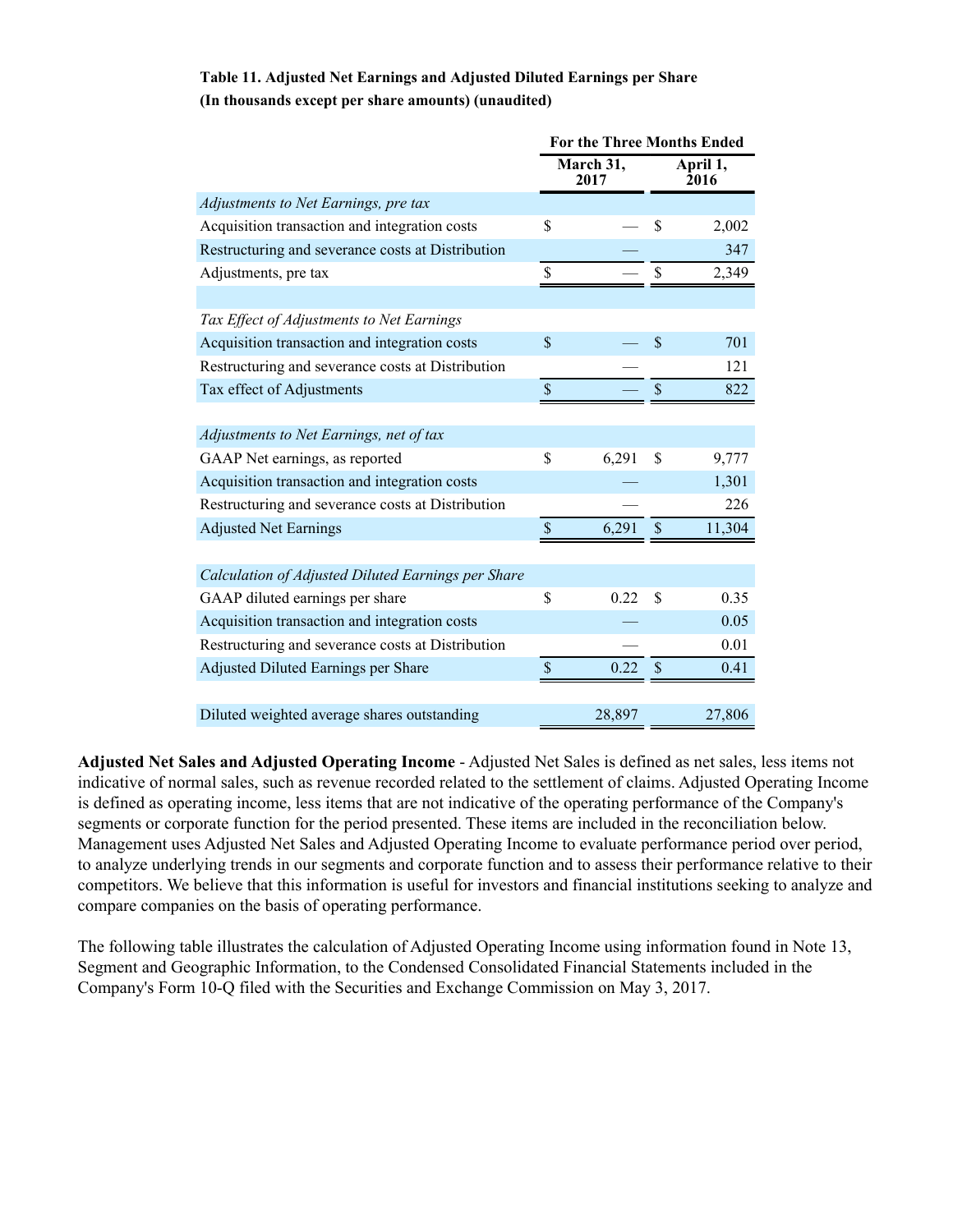**Table 11. Adjusted Net Earnings and Adjusted Diluted Earnings per Share (In thousands except per share amounts) (unaudited)**

|                                                    | <b>For the Three Months Ended</b> |                   |                                      |        |  |
|----------------------------------------------------|-----------------------------------|-------------------|--------------------------------------|--------|--|
|                                                    |                                   | March 31,<br>2017 | April $\overline{1,}$<br><b>2016</b> |        |  |
| Adjustments to Net Earnings, pre tax               |                                   |                   |                                      |        |  |
| Acquisition transaction and integration costs      | \$                                |                   | \$                                   | 2,002  |  |
| Restructuring and severance costs at Distribution  |                                   |                   |                                      | 347    |  |
| Adjustments, pre tax                               | \$                                |                   | \$                                   | 2,349  |  |
|                                                    |                                   |                   |                                      |        |  |
| Tax Effect of Adjustments to Net Earnings          |                                   |                   |                                      |        |  |
| Acquisition transaction and integration costs      | $\mathbb{S}$                      |                   | \$                                   | 701    |  |
| Restructuring and severance costs at Distribution  |                                   |                   |                                      | 121    |  |
| Tax effect of Adjustments                          | $\$$                              |                   | \$                                   | 822    |  |
|                                                    |                                   |                   |                                      |        |  |
| Adjustments to Net Earnings, net of tax            |                                   |                   |                                      |        |  |
| GAAP Net earnings, as reported                     | \$                                | 6,291             | \$                                   | 9,777  |  |
| Acquisition transaction and integration costs      |                                   |                   |                                      | 1,301  |  |
| Restructuring and severance costs at Distribution  |                                   |                   |                                      | 226    |  |
| <b>Adjusted Net Earnings</b>                       | \$                                | 6,291             | $\mathsf{\$}$                        | 11,304 |  |
|                                                    |                                   |                   |                                      |        |  |
| Calculation of Adjusted Diluted Earnings per Share |                                   |                   |                                      |        |  |
| GAAP diluted earnings per share                    | \$                                | 0.22              | \$                                   | 0.35   |  |
| Acquisition transaction and integration costs      |                                   |                   |                                      | 0.05   |  |
| Restructuring and severance costs at Distribution  |                                   |                   |                                      | 0.01   |  |
| Adjusted Diluted Earnings per Share                | \$                                | 0.22              | \$                                   | 0.41   |  |
|                                                    |                                   |                   |                                      |        |  |
| Diluted weighted average shares outstanding        |                                   | 28,897            |                                      | 27,806 |  |

**Adjusted Net Sales and Adjusted Operating Income** - Adjusted Net Sales is defined as net sales, less items not indicative of normal sales, such as revenue recorded related to the settlement of claims. Adjusted Operating Income is defined as operating income, less items that are not indicative of the operating performance of the Company's segments or corporate function for the period presented. These items are included in the reconciliation below. Management uses Adjusted Net Sales and Adjusted Operating Income to evaluate performance period over period, to analyze underlying trends in our segments and corporate function and to assess their performance relative to their competitors. We believe that this information is useful for investors and financial institutions seeking to analyze and compare companies on the basis of operating performance.

The following table illustrates the calculation of Adjusted Operating Income using information found in Note 13, Segment and Geographic Information, to the Condensed Consolidated Financial Statements included in the Company's Form 10-Q filed with the Securities and Exchange Commission on May 3, 2017.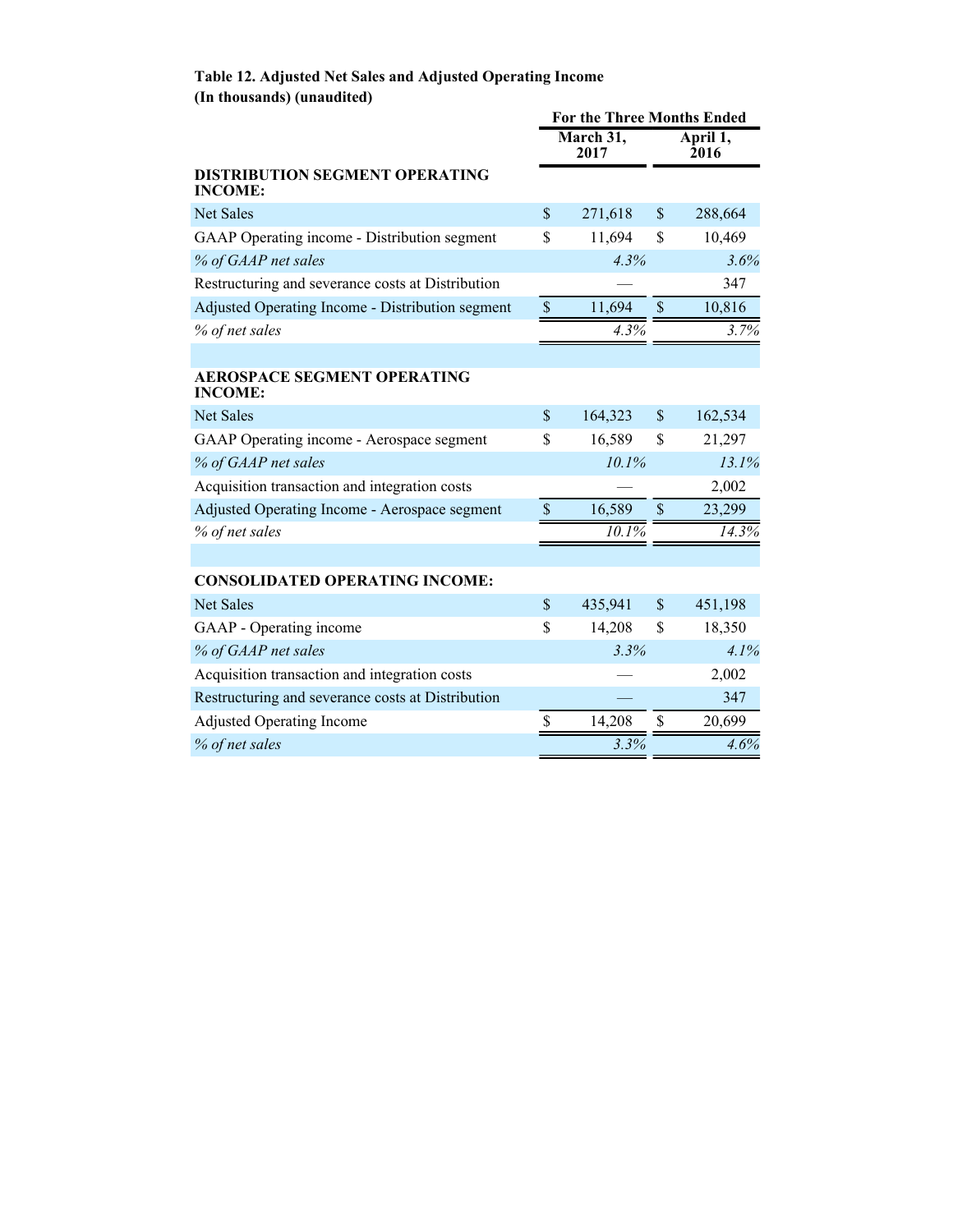| (In thousands) (unaquited)                           | <b>For the Three Months Ended</b> |                   |               |                  |  |
|------------------------------------------------------|-----------------------------------|-------------------|---------------|------------------|--|
|                                                      |                                   | March 31,<br>2017 |               | April 1,<br>2016 |  |
| DISTRIBUTION SEGMENT OPERATING<br><b>INCOME:</b>     |                                   |                   |               |                  |  |
| <b>Net Sales</b>                                     | \$                                | 271,618           | \$            | 288,664          |  |
| GAAP Operating income - Distribution segment         | \$                                | 11,694            | \$            | 10,469           |  |
| % of GAAP net sales                                  |                                   | 4.3%              |               | 3.6%             |  |
| Restructuring and severance costs at Distribution    |                                   |                   |               | 347              |  |
| Adjusted Operating Income - Distribution segment     | $\mathbb{S}$                      | 11,694            | $\mathbf{\$}$ | 10,816           |  |
| % of net sales                                       |                                   | 4.3%              |               | 3.7%             |  |
|                                                      |                                   |                   |               |                  |  |
| <b>AEROSPACE SEGMENT OPERATING</b><br><b>INCOME:</b> |                                   |                   |               |                  |  |
| <b>Net Sales</b>                                     | \$                                | 164,323           | \$            | 162,534          |  |
| GAAP Operating income - Aerospace segment            | \$                                | 16,589            | \$            | 21,297           |  |
| % of GAAP net sales                                  |                                   | 10.1%             |               | 13.1%            |  |
| Acquisition transaction and integration costs        |                                   |                   |               | 2,002            |  |
| Adjusted Operating Income - Aerospace segment        | $\boldsymbol{\mathsf{S}}$         | 16,589            | $\mathbb{S}$  | 23,299           |  |
| % of net sales                                       |                                   | 10.1%             |               | $14.3\%$         |  |
|                                                      |                                   |                   |               |                  |  |
| <b>CONSOLIDATED OPERATING INCOME:</b>                |                                   |                   |               |                  |  |
| <b>Net Sales</b>                                     | $\mathcal{S}$                     | 435,941           | \$            | 451,198          |  |
| GAAP - Operating income                              | \$                                | 14,208            | \$            | 18,350           |  |
| % of GAAP net sales                                  |                                   | 3.3%              |               | 4.1%             |  |
| Acquisition transaction and integration costs        |                                   |                   |               | 2,002            |  |
| Restructuring and severance costs at Distribution    |                                   |                   |               | 347              |  |
| <b>Adjusted Operating Income</b>                     | \$                                | 14,208            | S             | 20,699           |  |
| % of net sales                                       |                                   | 3.3%              |               | 4.6%             |  |
|                                                      |                                   |                   |               |                  |  |

## **Table 12. Adjusted Net Sales and Adjusted Operating Income (In thousands) (unaudited)**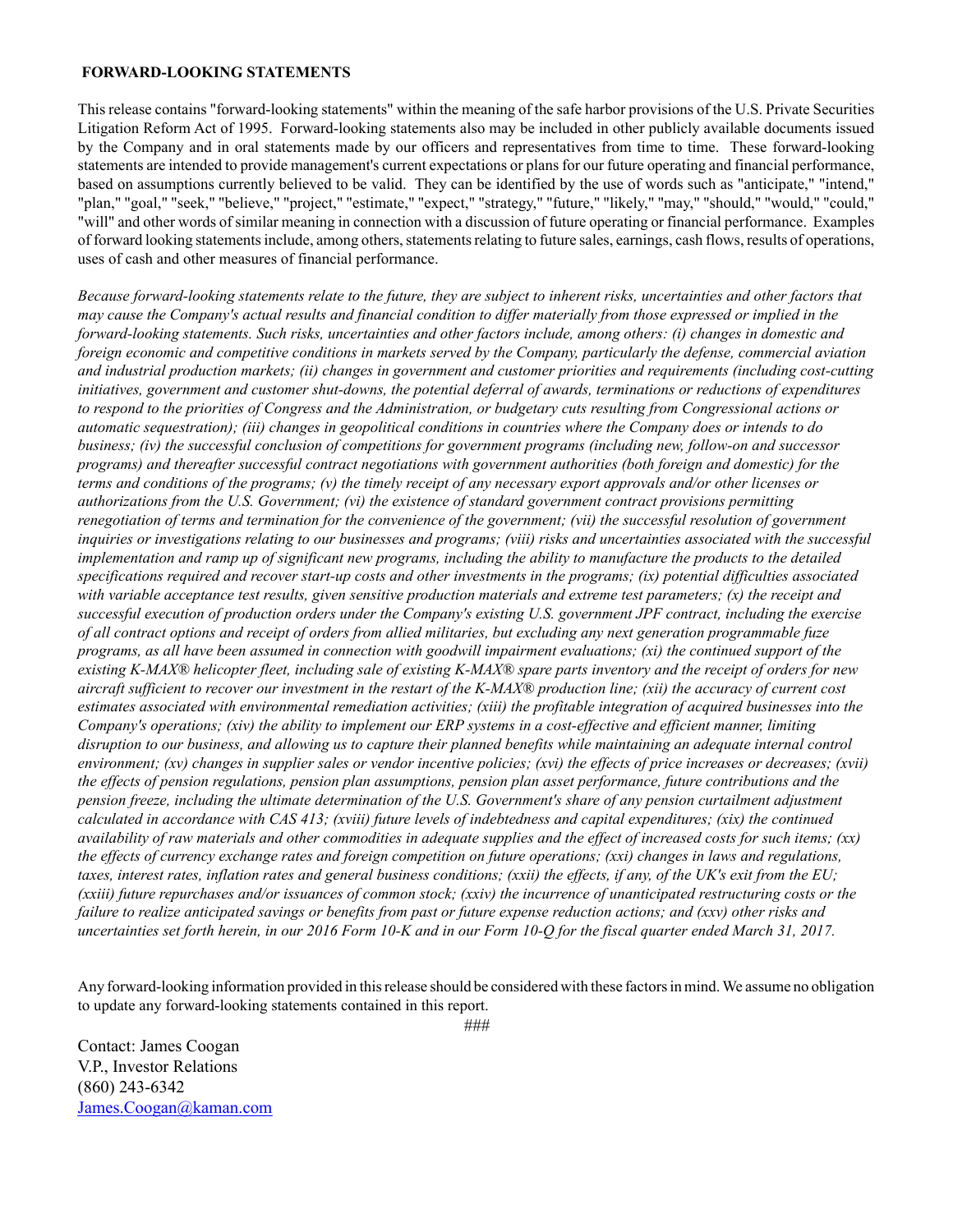#### **FORWARD-LOOKING STATEMENTS**

This release contains "forward-looking statements" within the meaning of the safe harbor provisions of the U.S. Private Securities Litigation Reform Act of 1995. Forward-looking statements also may be included in other publicly available documents issued by the Company and in oral statements made by our officers and representatives from time to time. These forward-looking statements are intended to provide management's current expectations or plans for our future operating and financial performance, based on assumptions currently believed to be valid. They can be identified by the use of words such as "anticipate," "intend," "plan," "goal," "seek," "believe," "project," "estimate," "expect," "strategy," "future," "likely," "may," "should," "would," "could," "will" and other words of similar meaning in connection with a discussion of future operating or financial performance. Examples of forward looking statements include, among others, statements relating to future sales, earnings, cash flows, results of operations, uses of cash and other measures of financial performance.

*Because forward-looking statements relate to the future, they are subject to inherent risks, uncertainties and other factors that may cause the Company's actual results and financial condition to differ materially from those expressed or implied in the forward-looking statements. Such risks, uncertainties and other factors include, among others: (i) changes in domestic and foreign economic and competitive conditions in markets served by the Company, particularly the defense, commercial aviation and industrial production markets; (ii) changes in government and customer priorities and requirements (including cost-cutting initiatives, government and customer shut-downs, the potential deferral of awards, terminations or reductions of expenditures to respond to the priorities of Congress and the Administration, or budgetary cuts resulting from Congressional actions or automatic sequestration); (iii) changes in geopolitical conditions in countries where the Company does or intends to do business; (iv) the successful conclusion of competitions for government programs (including new, follow-on and successor programs) and thereafter successful contract negotiations with government authorities (both foreign and domestic) for the terms and conditions of the programs; (v) the timely receipt of any necessary export approvals and/or other licenses or authorizations from the U.S. Government; (vi) the existence of standard government contract provisions permitting renegotiation of terms and termination for the convenience of the government; (vii) the successful resolution of government inquiries or investigations relating to our businesses and programs; (viii) risks and uncertainties associated with the successful implementation and ramp up of significant new programs, including the ability to manufacture the products to the detailed specifications required and recover start-up costs and other investments in the programs; (ix) potential difficulties associated with variable acceptance test results, given sensitive production materials and extreme test parameters; (x) the receipt and successful execution of production orders under the Company's existing U.S. government JPF contract, including the exercise of all contract options and receipt of orders from allied militaries, but excluding any next generation programmable fuze programs, as all have been assumed in connection with goodwill impairment evaluations; (xi) the continued support of the existing K-MAX® helicopter fleet, including sale of existing K-MAX® spare parts inventory and the receipt of orders for new aircraft sufficient to recover our investment in the restart of the K-MAX® production line; (xii) the accuracy of current cost estimates associated with environmental remediation activities; (xiii) the profitable integration of acquired businesses into the Company's operations; (xiv) the ability to implement our ERP systems in a cost-effective and efficient manner, limiting disruption to our business, and allowing us to capture their planned benefits while maintaining an adequate internal control environment; (xv) changes in supplier sales or vendor incentive policies; (xvi) the effects of price increases or decreases; (xvii) the effects of pension regulations, pension plan assumptions, pension plan asset performance, future contributions and the pension freeze, including the ultimate determination of the U.S. Government's share of any pension curtailment adjustment calculated in accordance with CAS 413; (xviii) future levels of indebtedness and capital expenditures; (xix) the continued availability of raw materials and other commodities in adequate supplies and the effect of increased costs for such items; (xx) the effects of currency exchange rates and foreign competition on future operations; (xxi) changes in laws and regulations, taxes, interest rates, inflation rates and general business conditions; (xxii) the effects, if any, of the UK's exit from the EU; (xxiii) future repurchases and/or issuances of common stock; (xxiv) the incurrence of unanticipated restructuring costs or the failure to realize anticipated savings or benefits from past or future expense reduction actions; and (xxv) other risks and uncertainties set forth herein, in our 2016 Form 10-K and in our Form 10-Q for the fiscal quarter ended March 31, 2017.*

Any forward-looking information provided in this release should be considered with these factors in mind. We assume no obligation to update any forward-looking statements contained in this report.

*###*

Contact: James Coogan V.P., Investor Relations (860) 243-6342 James.Coogan@kaman.com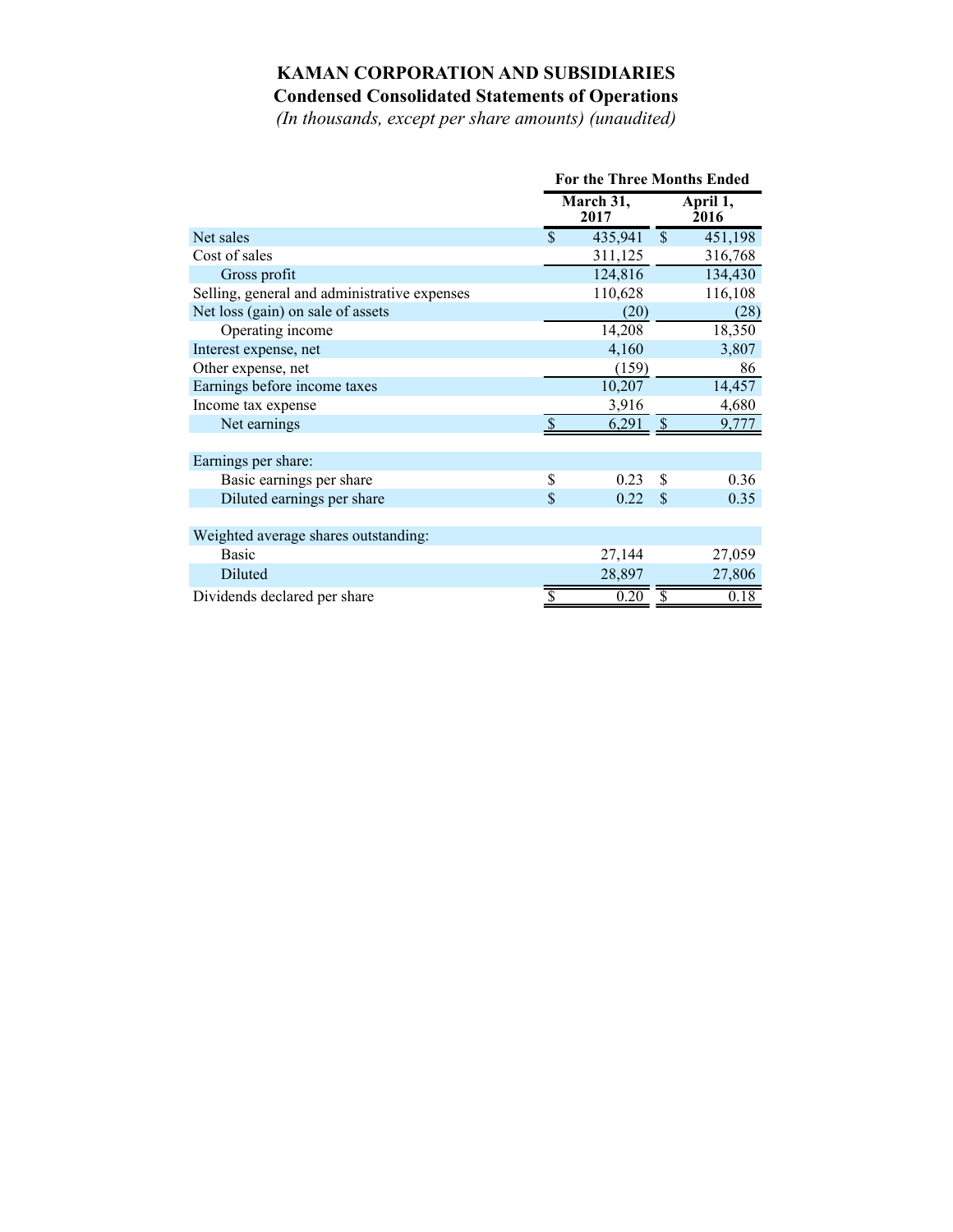# **KAMAN CORPORATION AND SUBSIDIARIES Condensed Consolidated Statements of Operations**

*(In thousands, except per share amounts) (unaudited)*

|                                              | <b>For the Three Months Ended</b> |                   |                           |                         |  |
|----------------------------------------------|-----------------------------------|-------------------|---------------------------|-------------------------|--|
|                                              |                                   | March 31,<br>2017 |                           | April 1,<br><b>2016</b> |  |
| Net sales                                    | $\mathbf S$                       | 435,941           | $\mathcal{S}$             | 451,198                 |  |
| Cost of sales                                |                                   | 311,125           |                           | 316,768                 |  |
| Gross profit                                 |                                   | 124,816           |                           | 134,430                 |  |
| Selling, general and administrative expenses |                                   | 110,628           |                           | 116,108                 |  |
| Net loss (gain) on sale of assets            |                                   | (20)              |                           | (28)                    |  |
| Operating income                             |                                   | 14,208            |                           | 18,350                  |  |
| Interest expense, net                        |                                   | 4,160             |                           | 3,807                   |  |
| Other expense, net                           |                                   | (159)             |                           | 86                      |  |
| Earnings before income taxes                 |                                   | 10,207            |                           | 14,457                  |  |
| Income tax expense                           |                                   | 3,916             |                           | 4,680                   |  |
| Net earnings                                 | $\mathbf{\hat{S}}$                | 6,291             | $\boldsymbol{\mathsf{S}}$ | 9,777                   |  |
|                                              |                                   |                   |                           |                         |  |
| Earnings per share:                          |                                   |                   |                           |                         |  |
| Basic earnings per share                     | \$                                | 0.23              | \$                        | 0.36                    |  |
| Diluted earnings per share                   | \$                                | 0.22              | $\mathcal{S}$             | 0.35                    |  |
|                                              |                                   |                   |                           |                         |  |
| Weighted average shares outstanding:         |                                   |                   |                           |                         |  |
| <b>Basic</b>                                 |                                   | 27,144            |                           | 27,059                  |  |
| Diluted                                      |                                   | 28,897            |                           | 27,806                  |  |
| Dividends declared per share                 | S                                 | 0.20              | $\overline{\mathbb{S}}$   | 0.18                    |  |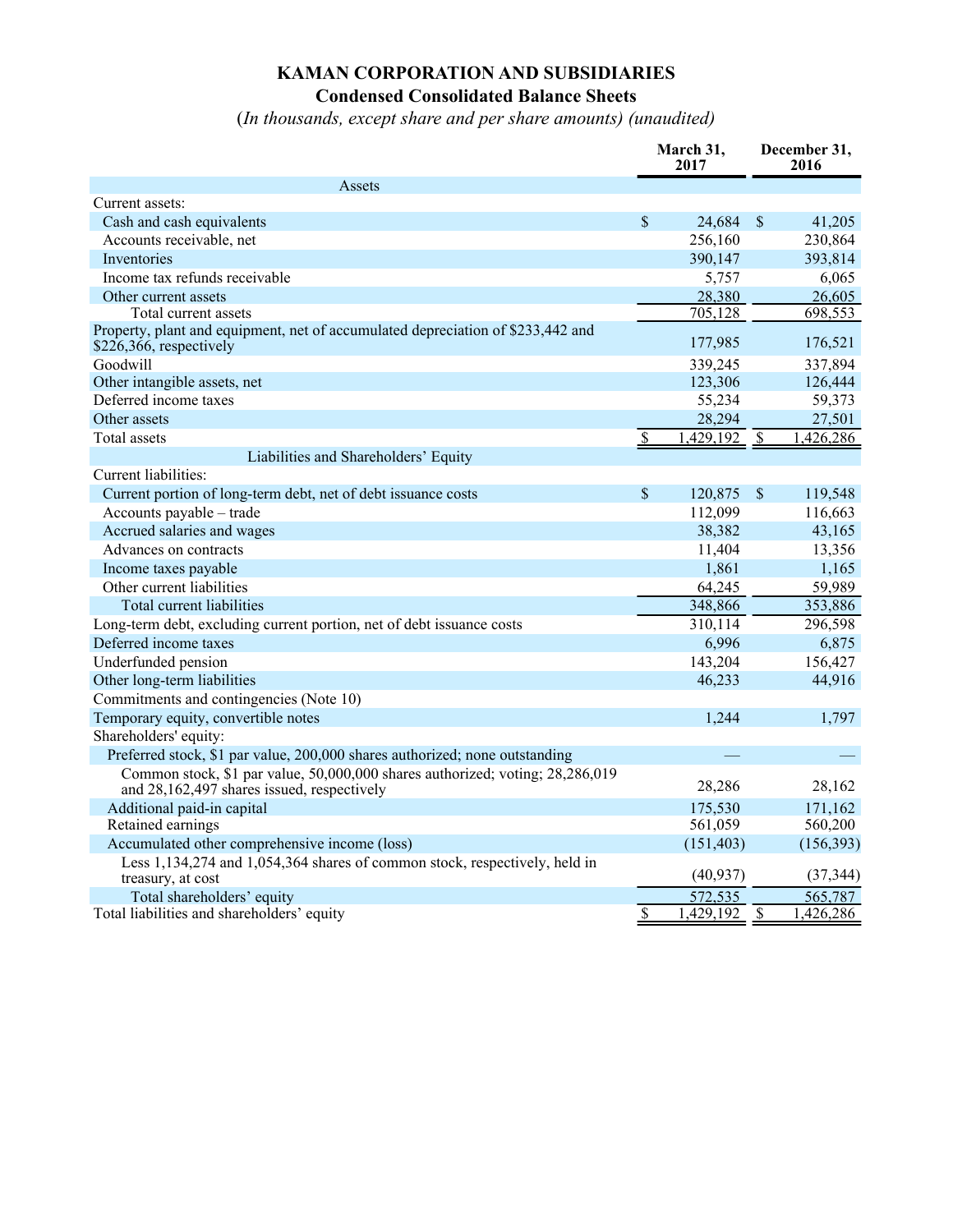# **KAMAN CORPORATION AND SUBSIDIARIES Condensed Consolidated Balance Sheets**

(*In thousands, except share and per share amounts) (unaudited)*

|                                                                                                                             | March 31,<br>2017      |            | December 31,<br>2016      |           |
|-----------------------------------------------------------------------------------------------------------------------------|------------------------|------------|---------------------------|-----------|
| Assets                                                                                                                      |                        |            |                           |           |
| Current assets:                                                                                                             |                        |            |                           |           |
| Cash and cash equivalents                                                                                                   | \$                     | 24,684     | $\mathsf{\$}$             | 41,205    |
| Accounts receivable, net                                                                                                    |                        | 256,160    |                           | 230,864   |
| Inventories                                                                                                                 |                        | 390,147    |                           | 393,814   |
| Income tax refunds receivable                                                                                               |                        | 5,757      |                           | 6,065     |
| Other current assets                                                                                                        |                        | 28,380     |                           | 26,605    |
| Total current assets                                                                                                        |                        | 705,128    |                           | 698,553   |
| Property, plant and equipment, net of accumulated depreciation of \$233,442 and<br>$$226,366$ , respectively                |                        | 177,985    |                           | 176,521   |
| Goodwill                                                                                                                    |                        | 339,245    |                           | 337,894   |
| Other intangible assets, net                                                                                                |                        | 123,306    |                           | 126,444   |
| Deferred income taxes                                                                                                       |                        | 55,234     |                           | 59,373    |
| Other assets                                                                                                                |                        | 28,294     |                           | 27,501    |
| Total assets                                                                                                                | $\mathbf{\mathcal{S}}$ | 1,429,192  | $\boldsymbol{\mathsf{S}}$ | 1,426,286 |
| Liabilities and Shareholders' Equity                                                                                        |                        |            |                           |           |
| Current liabilities:                                                                                                        |                        |            |                           |           |
| Current portion of long-term debt, net of debt issuance costs                                                               | \$                     | 120,875    | $\mathsf{\$}$             | 119,548   |
| Accounts payable - trade                                                                                                    |                        | 112,099    |                           | 116,663   |
| Accrued salaries and wages                                                                                                  |                        | 38,382     |                           | 43,165    |
| Advances on contracts                                                                                                       |                        | 11,404     |                           | 13,356    |
| Income taxes payable                                                                                                        |                        | 1,861      |                           | 1,165     |
| Other current liabilities                                                                                                   |                        | 64,245     |                           | 59,989    |
| Total current liabilities                                                                                                   |                        | 348,866    |                           | 353,886   |
| Long-term debt, excluding current portion, net of debt issuance costs                                                       |                        | 310,114    |                           | 296,598   |
| Deferred income taxes                                                                                                       |                        | 6,996      |                           | 6,875     |
| Underfunded pension                                                                                                         |                        | 143,204    |                           | 156,427   |
| Other long-term liabilities                                                                                                 |                        | 46,233     |                           | 44,916    |
| Commitments and contingencies (Note 10)                                                                                     |                        |            |                           |           |
| Temporary equity, convertible notes                                                                                         |                        | 1,244      |                           | 1,797     |
| Shareholders' equity:                                                                                                       |                        |            |                           |           |
| Preferred stock, \$1 par value, 200,000 shares authorized; none outstanding                                                 |                        |            |                           |           |
| Common stock, \$1 par value, 50,000,000 shares authorized; voting; 28,286,019<br>and 28,162,497 shares issued, respectively |                        | 28,286     |                           | 28,162    |
| Additional paid-in capital                                                                                                  |                        | 175,530    |                           | 171,162   |
| Retained earnings                                                                                                           |                        | 561,059    |                           | 560,200   |
| Accumulated other comprehensive income (loss)                                                                               |                        | (151, 403) |                           | (156,393) |
| Less 1,134,274 and 1,054,364 shares of common stock, respectively, held in<br>treasury, at cost                             |                        | (40, 937)  |                           | (37, 344) |
| Total shareholders' equity                                                                                                  |                        | 572,535    |                           | 565,787   |
| Total liabilities and shareholders' equity                                                                                  | \$                     | ,429,192   | $\mathcal{S}$             | 1,426,286 |